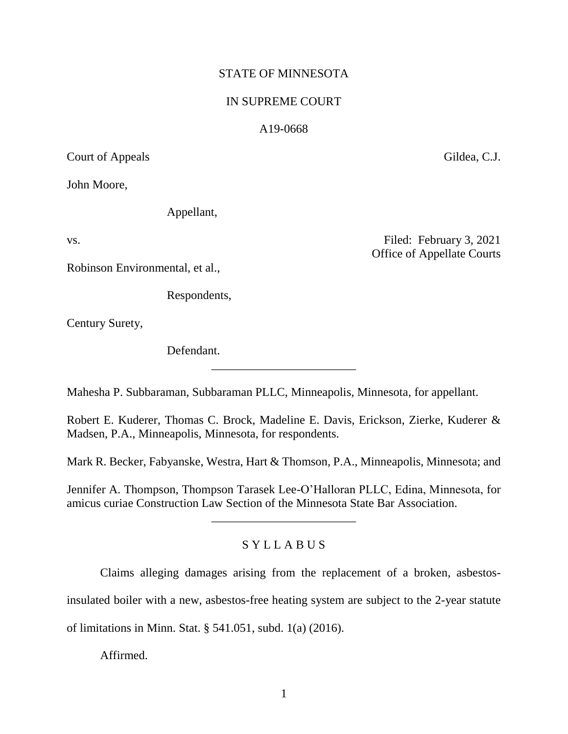## STATE OF MINNESOTA

## IN SUPREME COURT

## A19-0668

Court of Appeals Gildea, C.J.

John Moore,

Appellant,

Robinson Environmental, et al.,

Respondents,

Century Surety,

Defendant.

vs. Filed: February 3, 2021 Office of Appellate Courts

Mahesha P. Subbaraman, Subbaraman PLLC, Minneapolis, Minnesota, for appellant.

Robert E. Kuderer, Thomas C. Brock, Madeline E. Davis, Erickson, Zierke, Kuderer & Madsen, P.A., Minneapolis, Minnesota, for respondents.

\_\_\_\_\_\_\_\_\_\_\_\_\_\_\_\_\_\_\_\_\_\_\_\_

Mark R. Becker, Fabyanske, Westra, Hart & Thomson, P.A., Minneapolis, Minnesota; and

Jennifer A. Thompson, Thompson Tarasek Lee-O'Halloran PLLC, Edina, Minnesota, for amicus curiae Construction Law Section of the Minnesota State Bar Association.

\_\_\_\_\_\_\_\_\_\_\_\_\_\_\_\_\_\_\_\_\_\_\_\_

# S Y L L A B U S

Claims alleging damages arising from the replacement of a broken, asbestos-

insulated boiler with a new, asbestos-free heating system are subject to the 2-year statute

of limitations in Minn. Stat. § 541.051, subd. 1(a) (2016).

Affirmed.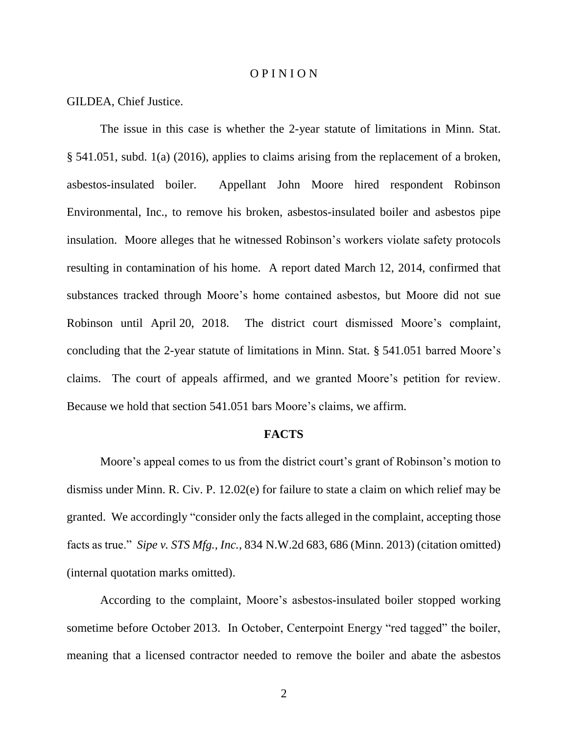#### O P I N I O N

GILDEA, Chief Justice.

The issue in this case is whether the 2-year statute of limitations in Minn. Stat. § 541.051, subd. 1(a) (2016), applies to claims arising from the replacement of a broken, asbestos-insulated boiler. Appellant John Moore hired respondent Robinson Environmental, Inc., to remove his broken, asbestos-insulated boiler and asbestos pipe insulation. Moore alleges that he witnessed Robinson's workers violate safety protocols resulting in contamination of his home. A report dated March 12, 2014, confirmed that substances tracked through Moore's home contained asbestos, but Moore did not sue Robinson until April 20, 2018. The district court dismissed Moore's complaint, concluding that the 2-year statute of limitations in Minn. Stat. § 541.051 barred Moore's claims. The court of appeals affirmed, and we granted Moore's petition for review. Because we hold that section 541.051 bars Moore's claims, we affirm.

#### **FACTS**

Moore's appeal comes to us from the district court's grant of Robinson's motion to dismiss under Minn. R. Civ. P. 12.02(e) for failure to state a claim on which relief may be granted. We accordingly "consider only the facts alleged in the complaint, accepting those facts as true." *Sipe v. STS Mfg., Inc.*, 834 N.W.2d 683, 686 (Minn. 2013) (citation omitted) (internal quotation marks omitted).

According to the complaint, Moore's asbestos-insulated boiler stopped working sometime before October 2013. In October, Centerpoint Energy "red tagged" the boiler, meaning that a licensed contractor needed to remove the boiler and abate the asbestos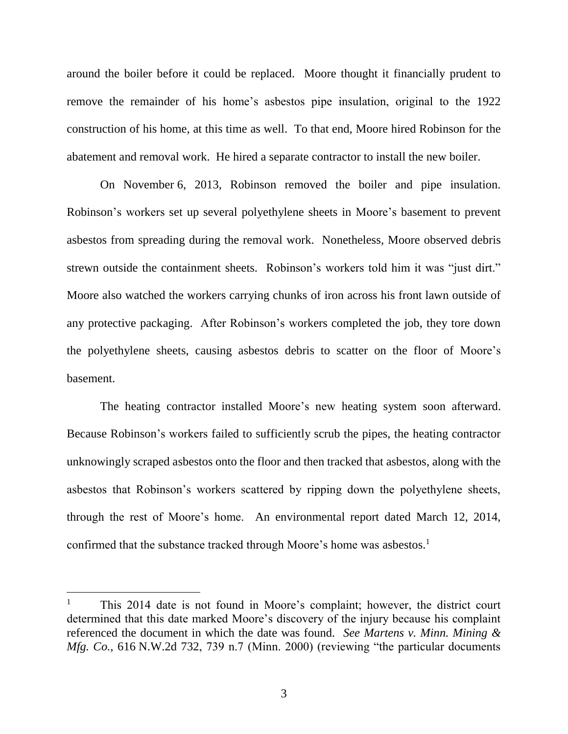around the boiler before it could be replaced. Moore thought it financially prudent to remove the remainder of his home's asbestos pipe insulation, original to the 1922 construction of his home, at this time as well. To that end, Moore hired Robinson for the abatement and removal work. He hired a separate contractor to install the new boiler.

On November 6, 2013, Robinson removed the boiler and pipe insulation. Robinson's workers set up several polyethylene sheets in Moore's basement to prevent asbestos from spreading during the removal work. Nonetheless, Moore observed debris strewn outside the containment sheets. Robinson's workers told him it was "just dirt." Moore also watched the workers carrying chunks of iron across his front lawn outside of any protective packaging. After Robinson's workers completed the job, they tore down the polyethylene sheets, causing asbestos debris to scatter on the floor of Moore's basement.

The heating contractor installed Moore's new heating system soon afterward. Because Robinson's workers failed to sufficiently scrub the pipes, the heating contractor unknowingly scraped asbestos onto the floor and then tracked that asbestos, along with the asbestos that Robinson's workers scattered by ripping down the polyethylene sheets, through the rest of Moore's home. An environmental report dated March 12, 2014, confirmed that the substance tracked through Moore's home was asbestos.<sup>1</sup>

This 2014 date is not found in Moore's complaint; however, the district court determined that this date marked Moore's discovery of the injury because his complaint referenced the document in which the date was found. *See Martens v. Minn. Mining & Mfg. Co.*, 616 N.W.2d 732, 739 n.7 (Minn. 2000) (reviewing "the particular documents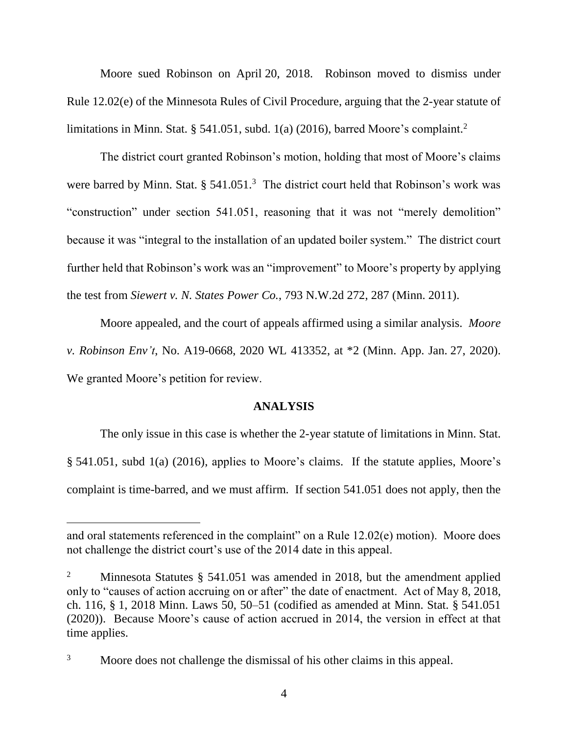Moore sued Robinson on April 20, 2018. Robinson moved to dismiss under Rule 12.02(e) of the Minnesota Rules of Civil Procedure, arguing that the 2-year statute of limitations in Minn. Stat. § 541.051, subd. 1(a) (2016), barred Moore's complaint.<sup>2</sup>

The district court granted Robinson's motion, holding that most of Moore's claims were barred by Minn. Stat.  $\S 541.051$ .<sup>3</sup> The district court held that Robinson's work was "construction" under section 541.051, reasoning that it was not "merely demolition" because it was "integral to the installation of an updated boiler system." The district court further held that Robinson's work was an "improvement" to Moore's property by applying the test from *Siewert v. N. States Power Co.*, 793 N.W.2d 272, 287 (Minn. 2011).

Moore appealed, and the court of appeals affirmed using a similar analysis. *Moore v. Robinson Env't*, No. A19-0668, 2020 WL 413352, at \*2 (Minn. App. Jan. 27, 2020). We granted Moore's petition for review.

#### **ANALYSIS**

The only issue in this case is whether the 2-year statute of limitations in Minn. Stat. § 541.051, subd 1(a) (2016), applies to Moore's claims. If the statute applies, Moore's complaint is time-barred, and we must affirm. If section 541.051 does not apply, then the

and oral statements referenced in the complaint" on a Rule 12.02(e) motion). Moore does not challenge the district court's use of the 2014 date in this appeal.

<sup>&</sup>lt;sup>2</sup> Minnesota Statutes  $\S$  541.051 was amended in 2018, but the amendment applied only to "causes of action accruing on or after" the date of enactment. Act of May 8, 2018, ch. 116, § 1, 2018 Minn. Laws 50, 50–51 (codified as amended at Minn. Stat. § 541.051 (2020)). Because Moore's cause of action accrued in 2014, the version in effect at that time applies.

<sup>&</sup>lt;sup>3</sup> Moore does not challenge the dismissal of his other claims in this appeal.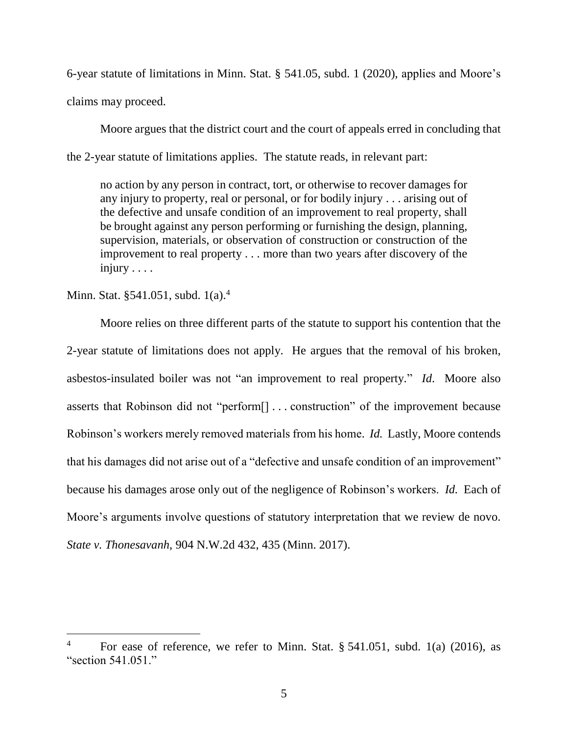6-year statute of limitations in Minn. Stat. § 541.05, subd. 1 (2020), applies and Moore's claims may proceed.

Moore argues that the district court and the court of appeals erred in concluding that the 2-year statute of limitations applies. The statute reads, in relevant part:

no action by any person in contract, tort, or otherwise to recover damages for any injury to property, real or personal, or for bodily injury . . . arising out of the defective and unsafe condition of an improvement to real property, shall be brought against any person performing or furnishing the design, planning, supervision, materials, or observation of construction or construction of the improvement to real property . . . more than two years after discovery of the injury . . . .

Minn. Stat. §541.051, subd. 1(a).<sup>4</sup>

 $\overline{a}$ 

Moore relies on three different parts of the statute to support his contention that the 2-year statute of limitations does not apply. He argues that the removal of his broken, asbestos-insulated boiler was not "an improvement to real property." *Id*. Moore also asserts that Robinson did not "perform[] . . . construction" of the improvement because Robinson's workers merely removed materials from his home. *Id.* Lastly, Moore contends that his damages did not arise out of a "defective and unsafe condition of an improvement" because his damages arose only out of the negligence of Robinson's workers. *Id.* Each of Moore's arguments involve questions of statutory interpretation that we review de novo. *State v. Thonesavanh*, 904 N.W.2d 432, 435 (Minn. 2017).

For ease of reference, we refer to Minn. Stat.  $\S$  541.051, subd. 1(a) (2016), as "section 541.051."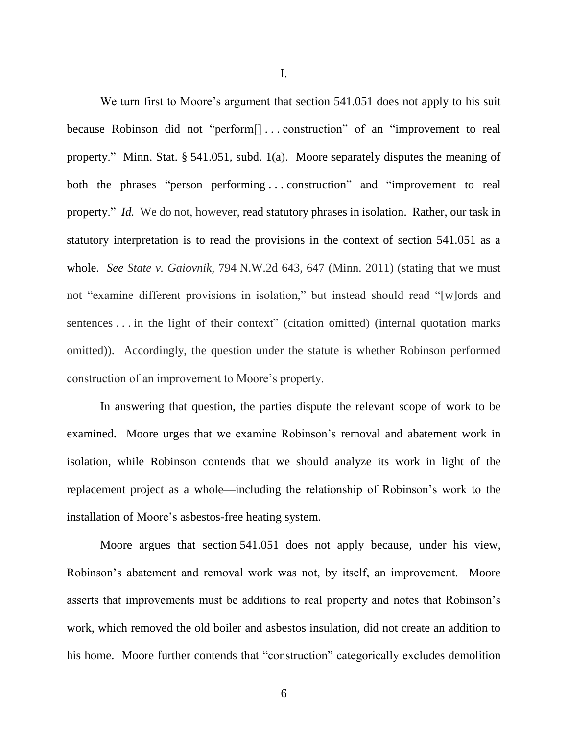I.

We turn first to Moore's argument that section 541.051 does not apply to his suit because Robinson did not "perform[] . . . construction" of an "improvement to real property." Minn. Stat. § 541.051, subd. 1(a). Moore separately disputes the meaning of both the phrases "person performing . . . construction" and "improvement to real property." *Id.* We do not, however, read statutory phrases in isolation. Rather, our task in statutory interpretation is to read the provisions in the context of section 541.051 as a whole. *See State v. Gaiovnik*, 794 N.W.2d 643, 647 (Minn. 2011) (stating that we must not "examine different provisions in isolation," but instead should read "[w]ords and sentences . . . in the light of their context" (citation omitted) (internal quotation marks omitted)). Accordingly, the question under the statute is whether Robinson performed construction of an improvement to Moore's property.

In answering that question, the parties dispute the relevant scope of work to be examined. Moore urges that we examine Robinson's removal and abatement work in isolation, while Robinson contends that we should analyze its work in light of the replacement project as a whole—including the relationship of Robinson's work to the installation of Moore's asbestos-free heating system.

Moore argues that section 541.051 does not apply because, under his view, Robinson's abatement and removal work was not, by itself, an improvement. Moore asserts that improvements must be additions to real property and notes that Robinson's work, which removed the old boiler and asbestos insulation, did not create an addition to his home. Moore further contends that "construction" categorically excludes demolition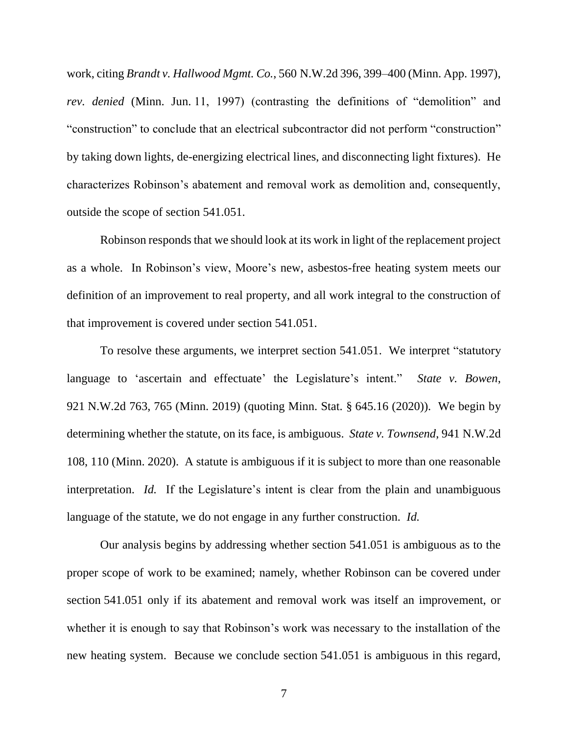work, citing *Brandt v. Hallwood Mgmt. Co.*, 560 N.W.2d 396, 399–400 (Minn. App. 1997), *rev. denied* (Minn. Jun. 11, 1997) (contrasting the definitions of "demolition" and "construction" to conclude that an electrical subcontractor did not perform "construction" by taking down lights, de-energizing electrical lines, and disconnecting light fixtures). He characterizes Robinson's abatement and removal work as demolition and, consequently, outside the scope of section 541.051.

Robinson responds that we should look at its work in light of the replacement project as a whole. In Robinson's view, Moore's new, asbestos-free heating system meets our definition of an improvement to real property, and all work integral to the construction of that improvement is covered under section 541.051.

To resolve these arguments, we interpret section 541.051. We interpret "statutory language to 'ascertain and effectuate' the Legislature's intent." *State v. Bowen*, 921 N.W.2d 763, 765 (Minn. 2019) (quoting Minn. Stat. § 645.16 (2020)). We begin by determining whether the statute, on its face, is ambiguous. *State v. Townsend*, 941 N.W.2d 108, 110 (Minn. 2020). A statute is ambiguous if it is subject to more than one reasonable interpretation. *Id.* If the Legislature's intent is clear from the plain and unambiguous language of the statute, we do not engage in any further construction. *Id.*

Our analysis begins by addressing whether section 541.051 is ambiguous as to the proper scope of work to be examined; namely, whether Robinson can be covered under section 541.051 only if its abatement and removal work was itself an improvement, or whether it is enough to say that Robinson's work was necessary to the installation of the new heating system. Because we conclude section 541.051 is ambiguous in this regard,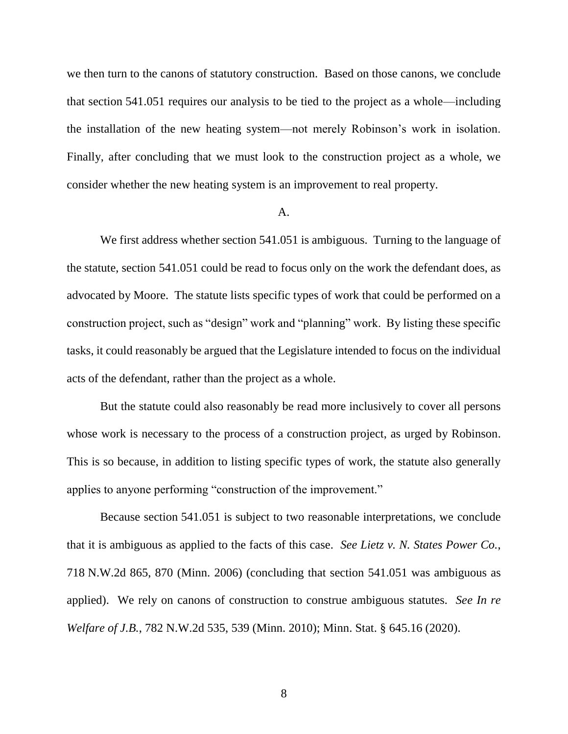we then turn to the canons of statutory construction. Based on those canons, we conclude that section 541.051 requires our analysis to be tied to the project as a whole—including the installation of the new heating system—not merely Robinson's work in isolation. Finally, after concluding that we must look to the construction project as a whole, we consider whether the new heating system is an improvement to real property.

#### A.

We first address whether section 541.051 is ambiguous. Turning to the language of the statute, section 541.051 could be read to focus only on the work the defendant does, as advocated by Moore. The statute lists specific types of work that could be performed on a construction project, such as "design" work and "planning" work. By listing these specific tasks, it could reasonably be argued that the Legislature intended to focus on the individual acts of the defendant, rather than the project as a whole.

But the statute could also reasonably be read more inclusively to cover all persons whose work is necessary to the process of a construction project, as urged by Robinson. This is so because, in addition to listing specific types of work, the statute also generally applies to anyone performing "construction of the improvement."

Because section 541.051 is subject to two reasonable interpretations, we conclude that it is ambiguous as applied to the facts of this case. *See Lietz v. N. States Power Co.*, 718 N.W.2d 865, 870 (Minn. 2006) (concluding that section 541.051 was ambiguous as applied). We rely on canons of construction to construe ambiguous statutes. *See In re Welfare of J.B.*, 782 N.W.2d 535, 539 (Minn. 2010); Minn. Stat. § 645.16 (2020).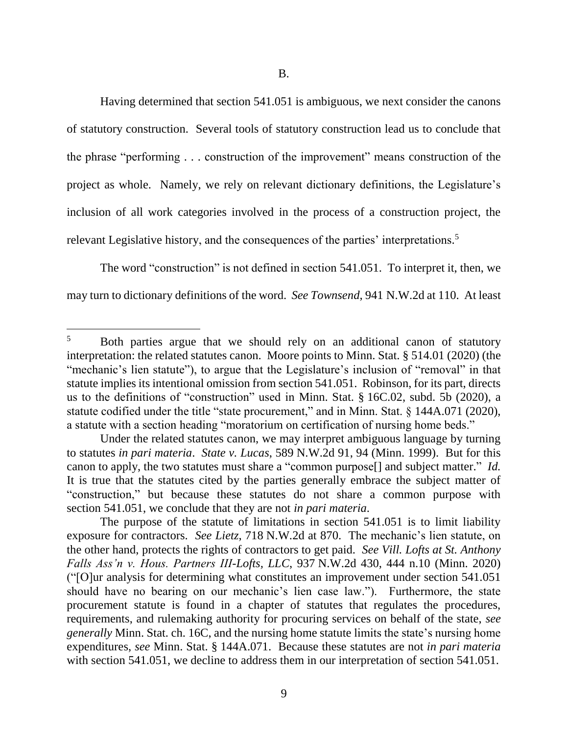Having determined that section 541.051 is ambiguous, we next consider the canons of statutory construction. Several tools of statutory construction lead us to conclude that the phrase "performing . . . construction of the improvement" means construction of the project as whole. Namely, we rely on relevant dictionary definitions, the Legislature's inclusion of all work categories involved in the process of a construction project, the relevant Legislative history, and the consequences of the parties' interpretations.<sup>5</sup>

The word "construction" is not defined in section 541.051. To interpret it, then, we may turn to dictionary definitions of the word. *See Townsend*, 941 N.W.2d at 110. At least

<sup>&</sup>lt;sup>5</sup> Both parties argue that we should rely on an additional canon of statutory interpretation: the related statutes canon. Moore points to Minn. Stat. § 514.01 (2020) (the "mechanic's lien statute"), to argue that the Legislature's inclusion of "removal" in that statute implies its intentional omission from section 541.051. Robinson, for its part, directs us to the definitions of "construction" used in Minn. Stat. § 16C.02, subd. 5b (2020), a statute codified under the title "state procurement," and in Minn. Stat. § 144A.071 (2020), a statute with a section heading "moratorium on certification of nursing home beds."

Under the related statutes canon, we may interpret ambiguous language by turning to statutes *in pari materia*. *State v. Lucas*, 589 N.W.2d 91, 94 (Minn. 1999). But for this canon to apply, the two statutes must share a "common purpose[] and subject matter." *Id.* It is true that the statutes cited by the parties generally embrace the subject matter of "construction," but because these statutes do not share a common purpose with section 541.051, we conclude that they are not *in pari materia*.

The purpose of the statute of limitations in section 541.051 is to limit liability exposure for contractors. *See Lietz*, 718 N.W.2d at 870. The mechanic's lien statute, on the other hand, protects the rights of contractors to get paid. *See Vill. Lofts at St. Anthony Falls Ass'n v. Hous. Partners III-Lofts, LLC*, 937 N.W.2d 430, 444 n.10 (Minn. 2020) ("[O]ur analysis for determining what constitutes an improvement under section 541.051 should have no bearing on our mechanic's lien case law."). Furthermore, the state procurement statute is found in a chapter of statutes that regulates the procedures, requirements, and rulemaking authority for procuring services on behalf of the state, *see generally* Minn. Stat. ch. 16C, and the nursing home statute limits the state's nursing home expenditures, *see* Minn. Stat. § 144A.071. Because these statutes are not *in pari materia* with section 541.051, we decline to address them in our interpretation of section 541.051.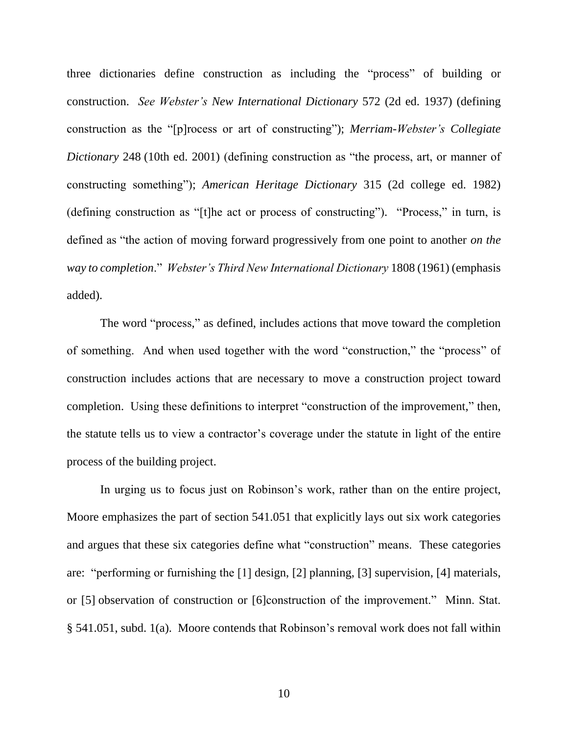three dictionaries define construction as including the "process" of building or construction. *See Webster's New International Dictionary* 572 (2d ed. 1937) (defining construction as the "[p]rocess or art of constructing"); *Merriam-Webster's Collegiate Dictionary* 248 (10th ed. 2001) (defining construction as "the process, art, or manner of constructing something"); *American Heritage Dictionary* 315 (2d college ed. 1982) (defining construction as "[t]he act or process of constructing"). "Process," in turn, is defined as "the action of moving forward progressively from one point to another *on the way to completion*." *Webster's Third New International Dictionary* 1808 (1961) (emphasis added).

The word "process," as defined, includes actions that move toward the completion of something. And when used together with the word "construction," the "process" of construction includes actions that are necessary to move a construction project toward completion. Using these definitions to interpret "construction of the improvement," then, the statute tells us to view a contractor's coverage under the statute in light of the entire process of the building project.

In urging us to focus just on Robinson's work, rather than on the entire project, Moore emphasizes the part of section 541.051 that explicitly lays out six work categories and argues that these six categories define what "construction" means. These categories are: "performing or furnishing the [1] design, [2] planning, [3] supervision, [4] materials, or [5] observation of construction or [6]construction of the improvement." Minn. Stat. § 541.051, subd. 1(a). Moore contends that Robinson's removal work does not fall within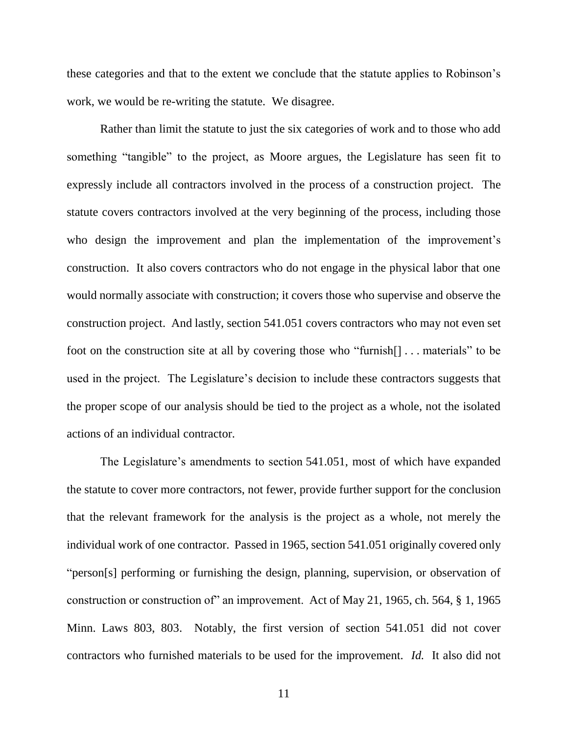these categories and that to the extent we conclude that the statute applies to Robinson's work, we would be re-writing the statute. We disagree.

Rather than limit the statute to just the six categories of work and to those who add something "tangible" to the project, as Moore argues, the Legislature has seen fit to expressly include all contractors involved in the process of a construction project. The statute covers contractors involved at the very beginning of the process, including those who design the improvement and plan the implementation of the improvement's construction. It also covers contractors who do not engage in the physical labor that one would normally associate with construction; it covers those who supervise and observe the construction project. And lastly, section 541.051 covers contractors who may not even set foot on the construction site at all by covering those who "furnish[] . . . materials" to be used in the project. The Legislature's decision to include these contractors suggests that the proper scope of our analysis should be tied to the project as a whole, not the isolated actions of an individual contractor.

The Legislature's amendments to section 541.051, most of which have expanded the statute to cover more contractors, not fewer, provide further support for the conclusion that the relevant framework for the analysis is the project as a whole, not merely the individual work of one contractor. Passed in 1965, section 541.051 originally covered only "person[s] performing or furnishing the design, planning, supervision, or observation of construction or construction of" an improvement. Act of May 21, 1965, ch. 564, § 1, 1965 Minn. Laws 803, 803. Notably, the first version of section 541.051 did not cover contractors who furnished materials to be used for the improvement. *Id.* It also did not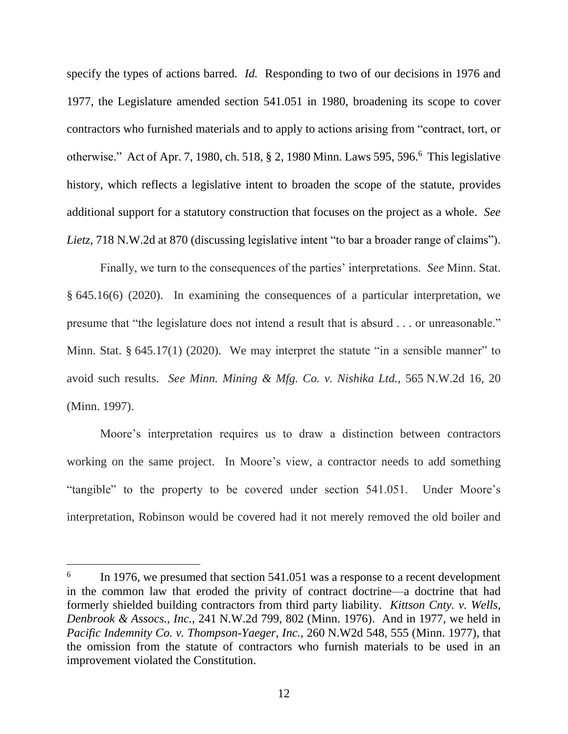specify the types of actions barred. *Id.* Responding to two of our decisions in 1976 and 1977, the Legislature amended section 541.051 in 1980, broadening its scope to cover contractors who furnished materials and to apply to actions arising from "contract, tort, or otherwise." Act of Apr. 7, 1980, ch. 518, § 2, 1980 Minn. Laws 595, 596. 6 This legislative history, which reflects a legislative intent to broaden the scope of the statute, provides additional support for a statutory construction that focuses on the project as a whole. *See Lietz*, 718 N.W.2d at 870 (discussing legislative intent "to bar a broader range of claims").

Finally, we turn to the consequences of the parties' interpretations. *See* Minn. Stat. § 645.16(6) (2020). In examining the consequences of a particular interpretation, we presume that "the legislature does not intend a result that is absurd . . . or unreasonable." Minn. Stat. § 645.17(1) (2020). We may interpret the statute "in a sensible manner" to avoid such results. *See Minn. Mining & Mfg. Co. v. Nishika Ltd.*, 565 N.W.2d 16, 20 (Minn. 1997).

Moore's interpretation requires us to draw a distinction between contractors working on the same project. In Moore's view, a contractor needs to add something "tangible" to the property to be covered under section 541.051. Under Moore's interpretation, Robinson would be covered had it not merely removed the old boiler and

<sup>6</sup> In 1976, we presumed that section 541.051 was a response to a recent development in the common law that eroded the privity of contract doctrine—a doctrine that had formerly shielded building contractors from third party liability. *Kittson Cnty. v. Wells, Denbrook & Assocs., Inc.*, 241 N.W.2d 799, 802 (Minn. 1976). And in 1977, we held in *Pacific Indemnity Co. v. Thompson-Yaeger, Inc.*, 260 N.W2d 548, 555 (Minn. 1977), that the omission from the statute of contractors who furnish materials to be used in an improvement violated the Constitution.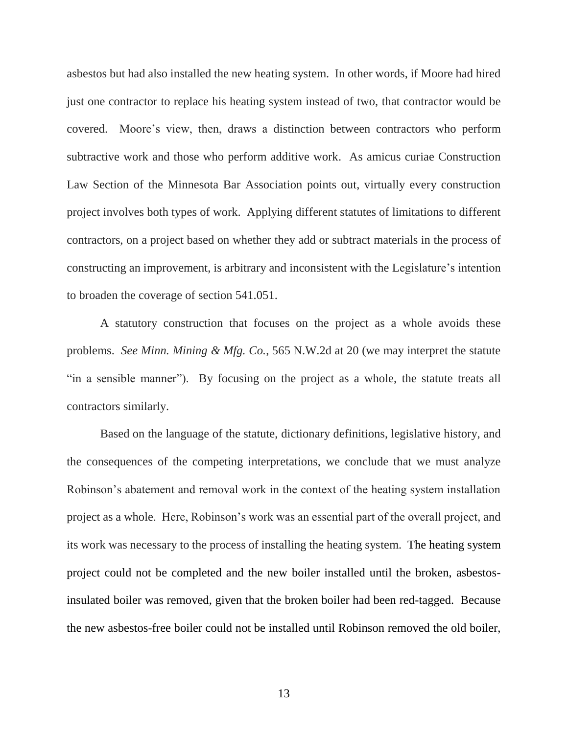asbestos but had also installed the new heating system. In other words, if Moore had hired just one contractor to replace his heating system instead of two, that contractor would be covered. Moore's view, then, draws a distinction between contractors who perform subtractive work and those who perform additive work. As amicus curiae Construction Law Section of the Minnesota Bar Association points out, virtually every construction project involves both types of work. Applying different statutes of limitations to different contractors, on a project based on whether they add or subtract materials in the process of constructing an improvement, is arbitrary and inconsistent with the Legislature's intention to broaden the coverage of section 541.051.

A statutory construction that focuses on the project as a whole avoids these problems. *See Minn. Mining & Mfg. Co.*, 565 N.W.2d at 20 (we may interpret the statute "in a sensible manner"). By focusing on the project as a whole, the statute treats all contractors similarly.

Based on the language of the statute, dictionary definitions, legislative history, and the consequences of the competing interpretations, we conclude that we must analyze Robinson's abatement and removal work in the context of the heating system installation project as a whole. Here, Robinson's work was an essential part of the overall project, and its work was necessary to the process of installing the heating system. The heating system project could not be completed and the new boiler installed until the broken, asbestosinsulated boiler was removed, given that the broken boiler had been red-tagged. Because the new asbestos-free boiler could not be installed until Robinson removed the old boiler,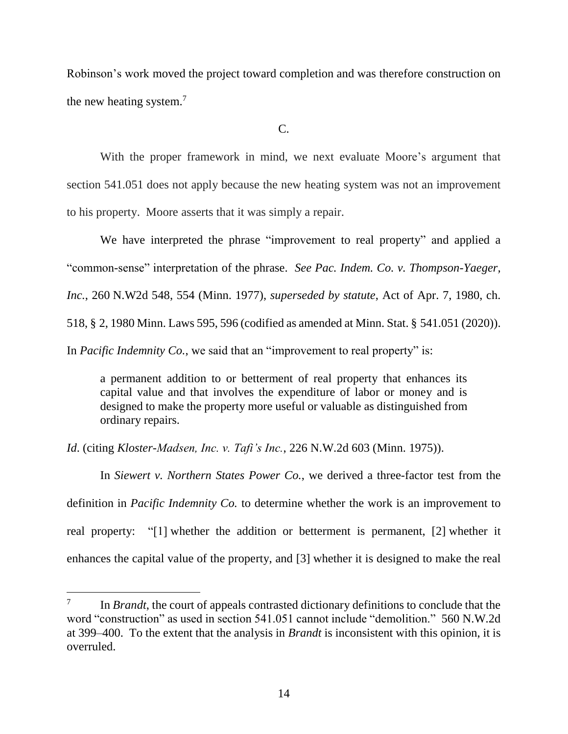Robinson's work moved the project toward completion and was therefore construction on the new heating system. $<sup>7</sup>$ </sup>

 $C_{\cdot}$ 

With the proper framework in mind, we next evaluate Moore's argument that section 541.051 does not apply because the new heating system was not an improvement to his property. Moore asserts that it was simply a repair.

We have interpreted the phrase "improvement to real property" and applied a "common-sense" interpretation of the phrase. *See Pac. Indem. Co. v. Thompson-Yaeger, Inc.*, 260 N.W2d 548, 554 (Minn. 1977), *superseded by statute*, Act of Apr. 7, 1980, ch. 518, § 2, 1980 Minn. Laws 595, 596 (codified as amended at Minn. Stat. § 541.051 (2020)). In *Pacific Indemnity Co.*, we said that an "improvement to real property" is:

a permanent addition to or betterment of real property that enhances its capital value and that involves the expenditure of labor or money and is designed to make the property more useful or valuable as distinguished from ordinary repairs.

*Id*. (citing *Kloster-Madsen, Inc. v. Tafi's Inc.*, 226 N.W.2d 603 (Minn. 1975)).

In *Siewert v. Northern States Power Co.*, we derived a three-factor test from the definition in *Pacific Indemnity Co.* to determine whether the work is an improvement to real property: "[1] whether the addition or betterment is permanent, [2] whether it enhances the capital value of the property, and [3] whether it is designed to make the real

<sup>7</sup> In *Brandt*, the court of appeals contrasted dictionary definitions to conclude that the word "construction" as used in section 541.051 cannot include "demolition." 560 N.W.2d at 399–400. To the extent that the analysis in *Brandt* is inconsistent with this opinion, it is overruled.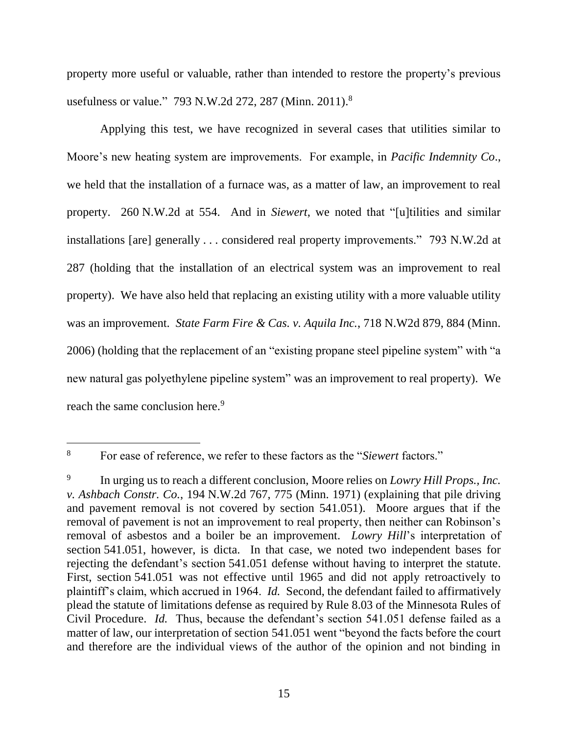property more useful or valuable, rather than intended to restore the property's previous usefulness or value." 793 N.W.2d 272, 287 (Minn. 2011).<sup>8</sup>

Applying this test, we have recognized in several cases that utilities similar to Moore's new heating system are improvements. For example, in *Pacific Indemnity Co*., we held that the installation of a furnace was, as a matter of law, an improvement to real property. 260 N.W.2d at 554. And in *Siewert*, we noted that "[u]tilities and similar installations [are] generally . . . considered real property improvements." 793 N.W.2d at 287 (holding that the installation of an electrical system was an improvement to real property). We have also held that replacing an existing utility with a more valuable utility was an improvement. *State Farm Fire & Cas. v. Aquila Inc.*, 718 N.W2d 879, 884 (Minn. 2006) (holding that the replacement of an "existing propane steel pipeline system" with "a new natural gas polyethylene pipeline system" was an improvement to real property). We reach the same conclusion here.<sup>9</sup>

<sup>8</sup> For ease of reference, we refer to these factors as the "*Siewert* factors."

<sup>9</sup> In urging us to reach a different conclusion, Moore relies on *Lowry Hill Props., Inc. v. Ashbach Constr. Co.*, 194 N.W.2d 767, 775 (Minn. 1971) (explaining that pile driving and pavement removal is not covered by section 541.051). Moore argues that if the removal of pavement is not an improvement to real property, then neither can Robinson's removal of asbestos and a boiler be an improvement. *Lowry Hill*'s interpretation of section 541.051, however, is dicta. In that case, we noted two independent bases for rejecting the defendant's section 541.051 defense without having to interpret the statute. First, section 541.051 was not effective until 1965 and did not apply retroactively to plaintiff's claim, which accrued in 1964. *Id.* Second, the defendant failed to affirmatively plead the statute of limitations defense as required by Rule 8.03 of the Minnesota Rules of Civil Procedure. *Id.* Thus, because the defendant's section 541.051 defense failed as a matter of law, our interpretation of section 541.051 went "beyond the facts before the court and therefore are the individual views of the author of the opinion and not binding in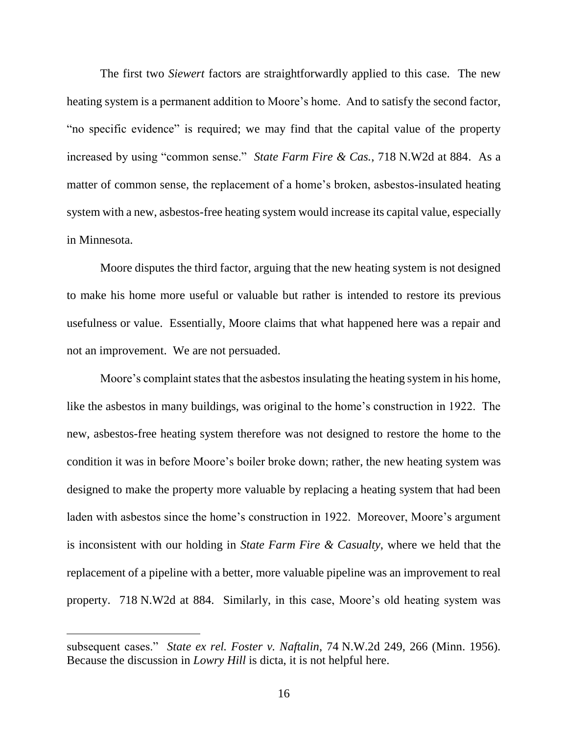The first two *Siewert* factors are straightforwardly applied to this case. The new heating system is a permanent addition to Moore's home. And to satisfy the second factor, "no specific evidence" is required; we may find that the capital value of the property increased by using "common sense." *State Farm Fire & Cas.*, 718 N.W2d at 884. As a matter of common sense, the replacement of a home's broken, asbestos-insulated heating system with a new, asbestos-free heating system would increase its capital value, especially in Minnesota.

Moore disputes the third factor, arguing that the new heating system is not designed to make his home more useful or valuable but rather is intended to restore its previous usefulness or value. Essentially, Moore claims that what happened here was a repair and not an improvement. We are not persuaded.

Moore's complaint states that the asbestos insulating the heating system in his home, like the asbestos in many buildings, was original to the home's construction in 1922. The new, asbestos-free heating system therefore was not designed to restore the home to the condition it was in before Moore's boiler broke down; rather, the new heating system was designed to make the property more valuable by replacing a heating system that had been laden with asbestos since the home's construction in 1922. Moreover, Moore's argument is inconsistent with our holding in *State Farm Fire & Casualty*, where we held that the replacement of a pipeline with a better, more valuable pipeline was an improvement to real property. 718 N.W2d at 884. Similarly, in this case, Moore's old heating system was

subsequent cases." *State ex rel. Foster v. Naftalin*, 74 N.W.2d 249, 266 (Minn. 1956). Because the discussion in *Lowry Hill* is dicta, it is not helpful here.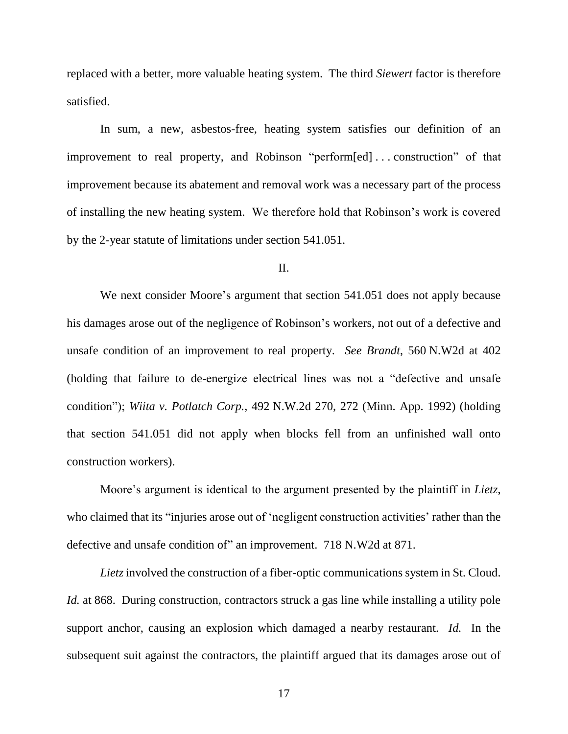replaced with a better, more valuable heating system. The third *Siewert* factor is therefore satisfied.

In sum, a new, asbestos-free, heating system satisfies our definition of an improvement to real property, and Robinson "perform[ed] . . . construction" of that improvement because its abatement and removal work was a necessary part of the process of installing the new heating system. We therefore hold that Robinson's work is covered by the 2-year statute of limitations under section 541.051.

#### II.

We next consider Moore's argument that section 541.051 does not apply because his damages arose out of the negligence of Robinson's workers, not out of a defective and unsafe condition of an improvement to real property. *See Brandt*, 560 N.W2d at 402 (holding that failure to de-energize electrical lines was not a "defective and unsafe condition"); *Wiita v. Potlatch Corp.*, 492 N.W.2d 270, 272 (Minn. App. 1992) (holding that section 541.051 did not apply when blocks fell from an unfinished wall onto construction workers).

Moore's argument is identical to the argument presented by the plaintiff in *Lietz*, who claimed that its "injuries arose out of 'negligent construction activities' rather than the defective and unsafe condition of" an improvement. 718 N.W2d at 871.

Lietz involved the construction of a fiber-optic communications system in St. Cloud. *Id.* at 868. During construction, contractors struck a gas line while installing a utility pole support anchor, causing an explosion which damaged a nearby restaurant. *Id.* In the subsequent suit against the contractors, the plaintiff argued that its damages arose out of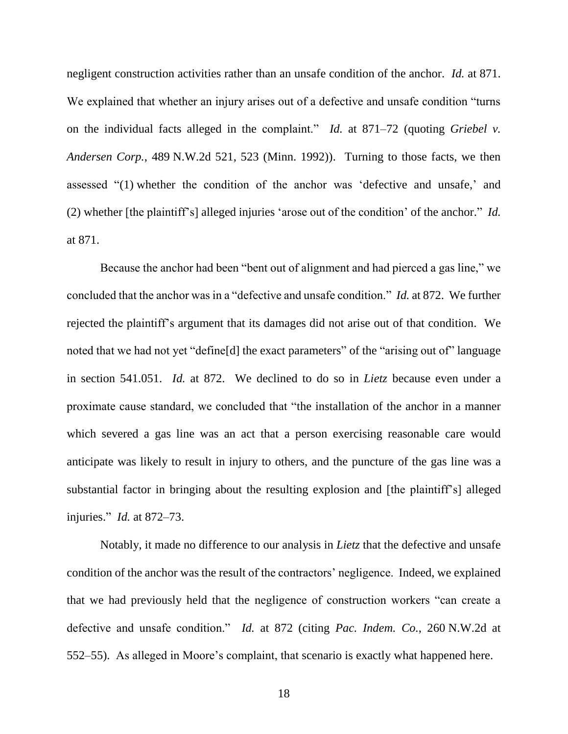negligent construction activities rather than an unsafe condition of the anchor. *Id.* at 871. We explained that whether an injury arises out of a defective and unsafe condition "turns on the individual facts alleged in the complaint." *Id.* at 871–72 (quoting *Griebel v. Andersen Corp.*, 489 N.W.2d 521, 523 (Minn. 1992)). Turning to those facts, we then assessed "(1) whether the condition of the anchor was 'defective and unsafe,' and (2) whether [the plaintiff's] alleged injuries 'arose out of the condition' of the anchor." *Id.*  at 871.

Because the anchor had been "bent out of alignment and had pierced a gas line," we concluded that the anchor was in a "defective and unsafe condition." *Id.* at 872. We further rejected the plaintiff's argument that its damages did not arise out of that condition. We noted that we had not yet "define[d] the exact parameters" of the "arising out of" language in section 541.051. *Id.* at 872. We declined to do so in *Lietz* because even under a proximate cause standard, we concluded that "the installation of the anchor in a manner which severed a gas line was an act that a person exercising reasonable care would anticipate was likely to result in injury to others, and the puncture of the gas line was a substantial factor in bringing about the resulting explosion and [the plaintiff's] alleged injuries." *Id.* at 872–73.

Notably, it made no difference to our analysis in *Lietz* that the defective and unsafe condition of the anchor was the result of the contractors' negligence. Indeed, we explained that we had previously held that the negligence of construction workers "can create a defective and unsafe condition." *Id.* at 872 (citing *Pac. Indem. Co.*, 260 N.W.2d at 552–55). As alleged in Moore's complaint, that scenario is exactly what happened here.